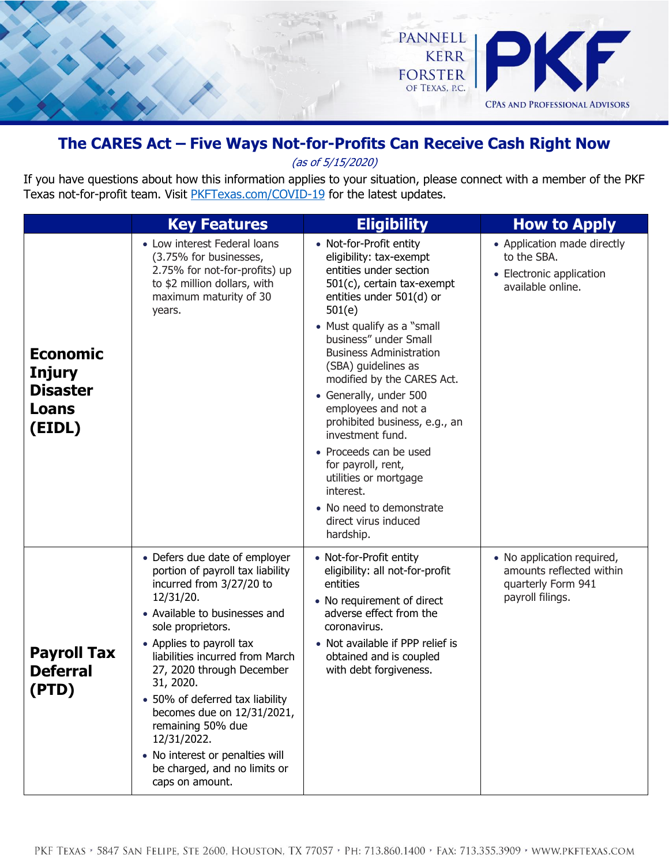

## **The CARES Act – Five Ways Not-for-Profits Can Receive Cash Right Now**

(as of 5/15/2020)

If you have questions about how this information applies to your situation, please connect with a member of the PKF Texas not-for-profit team. Visit [PKFTexas.com/COVID-19](http://www.pkftexas.com/COVID-19) for the latest updates.

|                                                                               | <b>Key Features</b>                                                                                                                                                                                                                                                                                                                                                                                                                                                  | <b>Eligibility</b>                                                                                                                                                                                                                                                                                                                                                                                                                                                                                                                                          | <b>How to Apply</b>                                                                              |
|-------------------------------------------------------------------------------|----------------------------------------------------------------------------------------------------------------------------------------------------------------------------------------------------------------------------------------------------------------------------------------------------------------------------------------------------------------------------------------------------------------------------------------------------------------------|-------------------------------------------------------------------------------------------------------------------------------------------------------------------------------------------------------------------------------------------------------------------------------------------------------------------------------------------------------------------------------------------------------------------------------------------------------------------------------------------------------------------------------------------------------------|--------------------------------------------------------------------------------------------------|
| <b>Economic</b><br><b>Injury</b><br><b>Disaster</b><br><b>Loans</b><br>(EIDL) | • Low interest Federal loans<br>(3.75% for businesses,<br>2.75% for not-for-profits) up<br>to \$2 million dollars, with<br>maximum maturity of 30<br>years.                                                                                                                                                                                                                                                                                                          | • Not-for-Profit entity<br>eligibility: tax-exempt<br>entities under section<br>501(c), certain tax-exempt<br>entities under 501(d) or<br>501(e)<br>• Must qualify as a "small<br>business" under Small<br><b>Business Administration</b><br>(SBA) guidelines as<br>modified by the CARES Act.<br>• Generally, under 500<br>employees and not a<br>prohibited business, e.g., an<br>investment fund.<br>• Proceeds can be used<br>for payroll, rent,<br>utilities or mortgage<br>interest.<br>• No need to demonstrate<br>direct virus induced<br>hardship. | • Application made directly<br>to the SBA.<br>• Electronic application<br>available online.      |
| <b>Payroll Tax</b><br><b>Deferral</b><br>(PTD)                                | • Defers due date of employer<br>portion of payroll tax liability<br>incurred from 3/27/20 to<br>12/31/20.<br>• Available to businesses and<br>sole proprietors.<br>• Applies to payroll tax<br>liabilities incurred from March<br>27, 2020 through December<br>31, 2020.<br>• 50% of deferred tax liability<br>becomes due on 12/31/2021,<br>remaining 50% due<br>12/31/2022.<br>• No interest or penalties will<br>be charged, and no limits or<br>caps on amount. | • Not-for-Profit entity<br>eligibility: all not-for-profit<br>entities<br>• No requirement of direct<br>adverse effect from the<br>coronavirus.<br>• Not available if PPP relief is<br>obtained and is coupled<br>with debt forgiveness.                                                                                                                                                                                                                                                                                                                    | • No application required,<br>amounts reflected within<br>quarterly Form 941<br>payroll filings. |